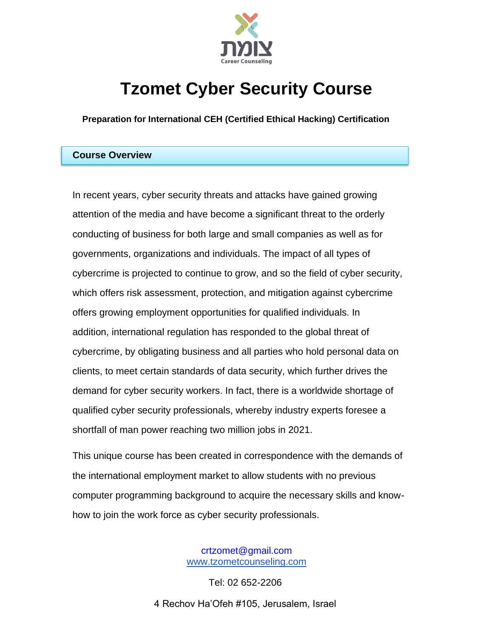

# **Tzomet Cyber Security Course**

**Preparation for International CEH (Certified Ethical Hacking) Certification** 

## **Course Overview**

In recent years, cyber security threats and attacks have gained growing attention of the media and have become a significant threat to the orderly conducting of business for both large and small companies as well as for governments, organizations and individuals. The impact of all types of cybercrime is projected to continue to grow, and so the field of cyber security, which offers risk assessment, protection, and mitigation against cybercrime offers growing employment opportunities for qualified individuals. In addition, international regulation has responded to the global threat of cybercrime, by obligating business and all parties who hold personal data on clients, to meet certain standards of data security, which further drives the demand for cyber security workers. In fact, there is a worldwide shortage of qualified cyber security professionals, whereby industry experts foresee a shortfall of man power reaching two million jobs in 2021.

This unique course has been created in correspondence with the demands of the international employment market to allow students with no previous computer programming background to acquire the necessary skills and knowhow to join the work force as cyber security professionals.

> crtzomet@gmail.com [www.tzometcounseling.com](http://www.tzometcounseling.com/)

Tel: 02 652-2206 4 Rechov Ha'Ofeh #105, Jerusalem, Israel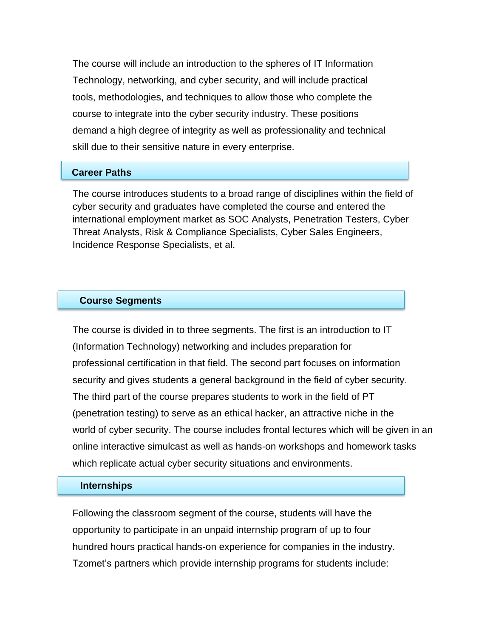The course will include an introduction to the spheres of IT Information Technology, networking, and cyber security, and will include practical tools, methodologies, and techniques to allow those who complete the course to integrate into the cyber security industry. These positions demand a high degree of integrity as well as professionality and technical skill due to their sensitive nature in every enterprise.

## **Career Paths**

The course introduces students to a broad range of disciplines within the field of cyber security and graduates have completed the course and entered the international employment market as SOC Analysts, Penetration Testers, Cyber Threat Analysts, Risk & Compliance Specialists, Cyber Sales Engineers, Incidence Response Specialists, et al.

## **Course Segments**

The course is divided in to three segments. The first is an introduction to IT (Information Technology) networking and includes preparation for professional certification in that field. The second part focuses on information security and gives students a general background in the field of cyber security. The third part of the course prepares students to work in the field of PT (penetration testing) to serve as an ethical hacker, an attractive niche in the world of cyber security. The course includes frontal lectures which will be given in an online interactive simulcast as well as hands-on workshops and homework tasks which replicate actual cyber security situations and environments.

## **Internships**

Following the classroom segment of the course, students will have the opportunity to participate in an unpaid internship program of up to four hundred hours practical hands-on experience for companies in the industry. Tzomet's partners which provide internship programs for students include: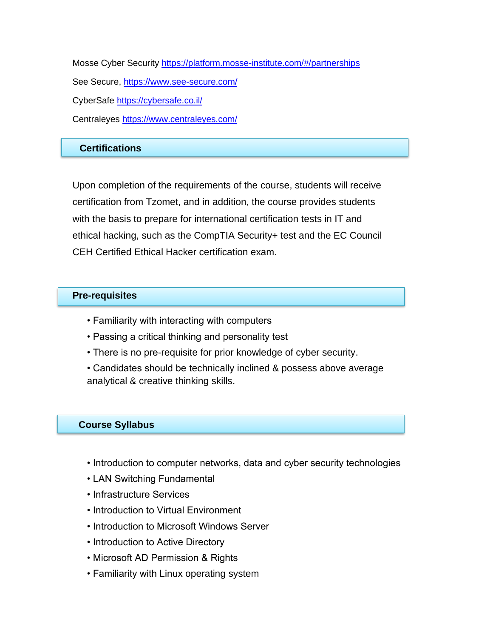Mosse Cyber Security<https://platform.mosse-institute.com/#/partnerships> See Secure,<https://www.see-secure.com/> CyberSafe<https://cybersafe.co.il/> Centraleyes<https://www.centraleyes.com/>

# **Certifications**

Upon completion of the requirements of the course, students will receive certification from Tzomet, and in addition, the course provides students with the basis to prepare for international certification tests in IT and ethical hacking, such as the CompTIA Security+ test and the EC Council CEH Certified Ethical Hacker certification exam.

## **Pre-requisites**

- Familiarity with interacting with computers
- Passing a critical thinking and personality test
- There is no pre-requisite for prior knowledge of cyber security.
- Candidates should be technically inclined & possess above average analytical & creative thinking skills.

# **Course Syllabus**

- Introduction to computer networks, data and cyber security technologies
- LAN Switching Fundamental
- Infrastructure Services
- Introduction to Virtual Environment
- Introduction to Microsoft Windows Server
- Introduction to Active Directory
- Microsoft AD Permission & Rights
- Familiarity with Linux operating system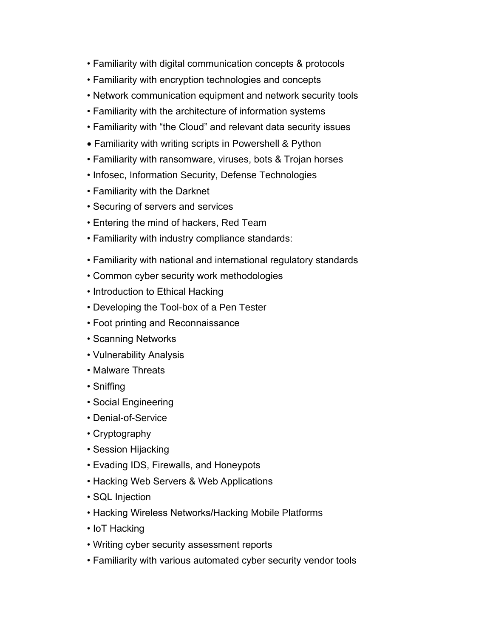- Familiarity with digital communication concepts & protocols
- Familiarity with encryption technologies and concepts
- Network communication equipment and network security tools
- Familiarity with the architecture of information systems
- Familiarity with "the Cloud" and relevant data security issues
- Familiarity with writing scripts in Powershell & Python
- Familiarity with ransomware, viruses, bots & Trojan horses
- Infosec, Information Security, Defense Technologies
- Familiarity with the Darknet
- Securing of servers and services
- Entering the mind of hackers, Red Team
- Familiarity with industry compliance standards:
- Familiarity with national and international regulatory standards
- Common cyber security work methodologies
- Introduction to Ethical Hacking
- Developing the Tool-box of a Pen Tester
- Foot printing and Reconnaissance
- Scanning Networks
- Vulnerability Analysis
- Malware Threats
- Sniffing
- Social Engineering
- Denial-of-Service
- Cryptography
- Session Hijacking
- Evading IDS, Firewalls, and Honeypots
- Hacking Web Servers & Web Applications
- SQL Injection
- Hacking Wireless Networks/Hacking Mobile Platforms
- IoT Hacking
- Writing cyber security assessment reports
- Familiarity with various automated cyber security vendor tools